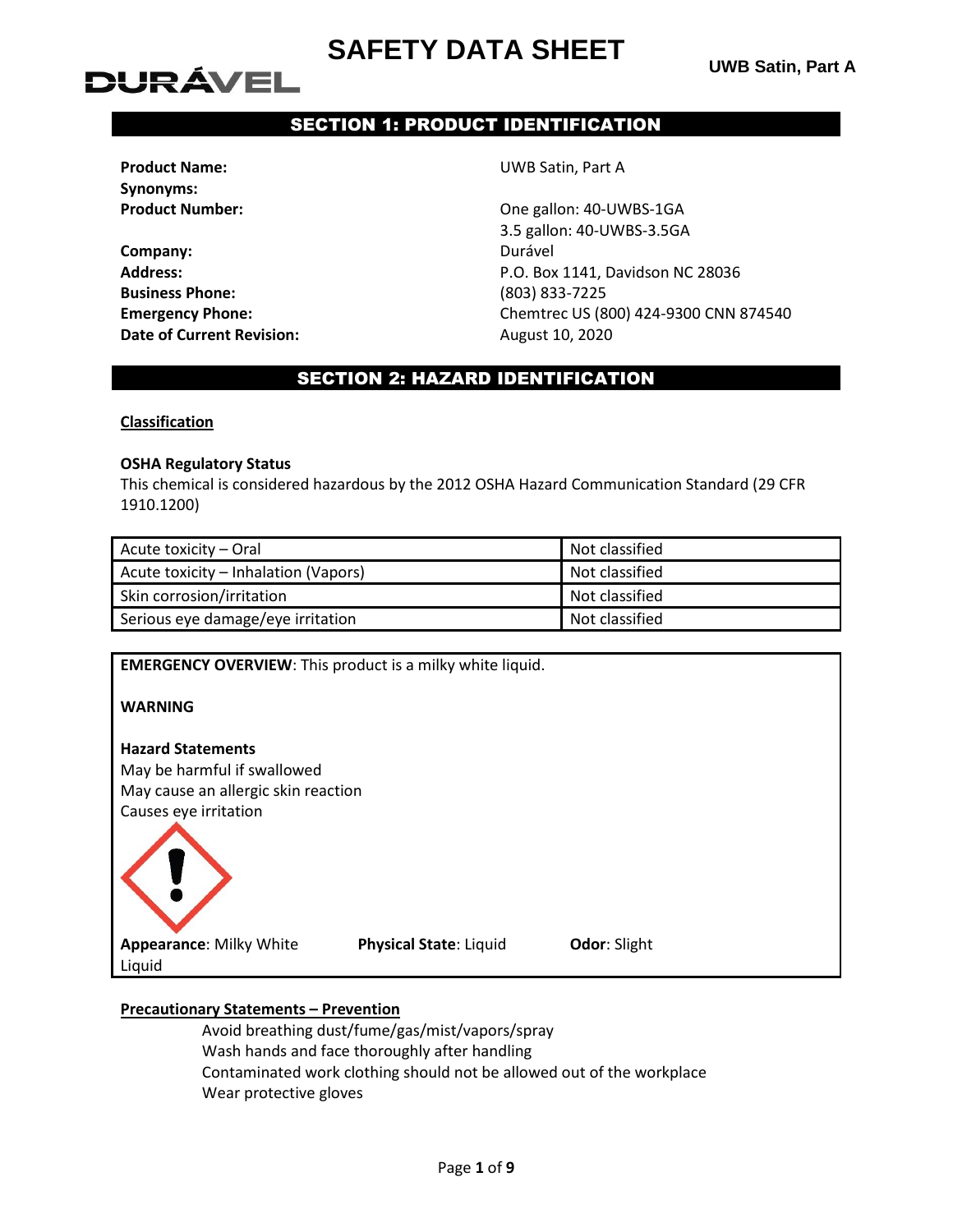# DURÁVEL

# SECTION 1: PRODUCT IDENTIFICATION

**Synonyms:**

**Company:** Durável **Business Phone:** (803) 833-7225 **Date of Current Revision:** August 10, 2020

**Product Name:** UWB Satin, Part A

**Product Number:** Christian Mumber 2012 10:40 Dne gallon: 40-UWBS-1GA 3.5 gallon: 40-UWBS-3.5GA **Address:** P.O. Box 1141, Davidson NC 28036 **Emergency Phone:** Chemtrec US (800) 424-9300 CNN 874540

## SECTION 2: HAZARD IDENTIFICATION

### **Classification**

#### **OSHA Regulatory Status**

This chemical is considered hazardous by the 2012 OSHA Hazard Communication Standard (29 CFR 1910.1200)

| Acute toxicity – Oral                | Not classified |
|--------------------------------------|----------------|
| Acute toxicity – Inhalation (Vapors) | Not classified |
| Skin corrosion/irritation            | Not classified |
| Serious eye damage/eye irritation    | Not classified |

**EMERGENCY OVERVIEW**: This product is a milky white liquid.

**WARNING**

### **Hazard Statements**

May be harmful if swallowed May cause an allergic skin reaction Causes eye irritation



**Physical State**: Liquid **Odor**: Slight

### **Precautionary Statements – Prevention**

Avoid breathing dust/fume/gas/mist/vapors/spray Wash hands and face thoroughly after handling Contaminated work clothing should not be allowed out of the workplace Wear protective gloves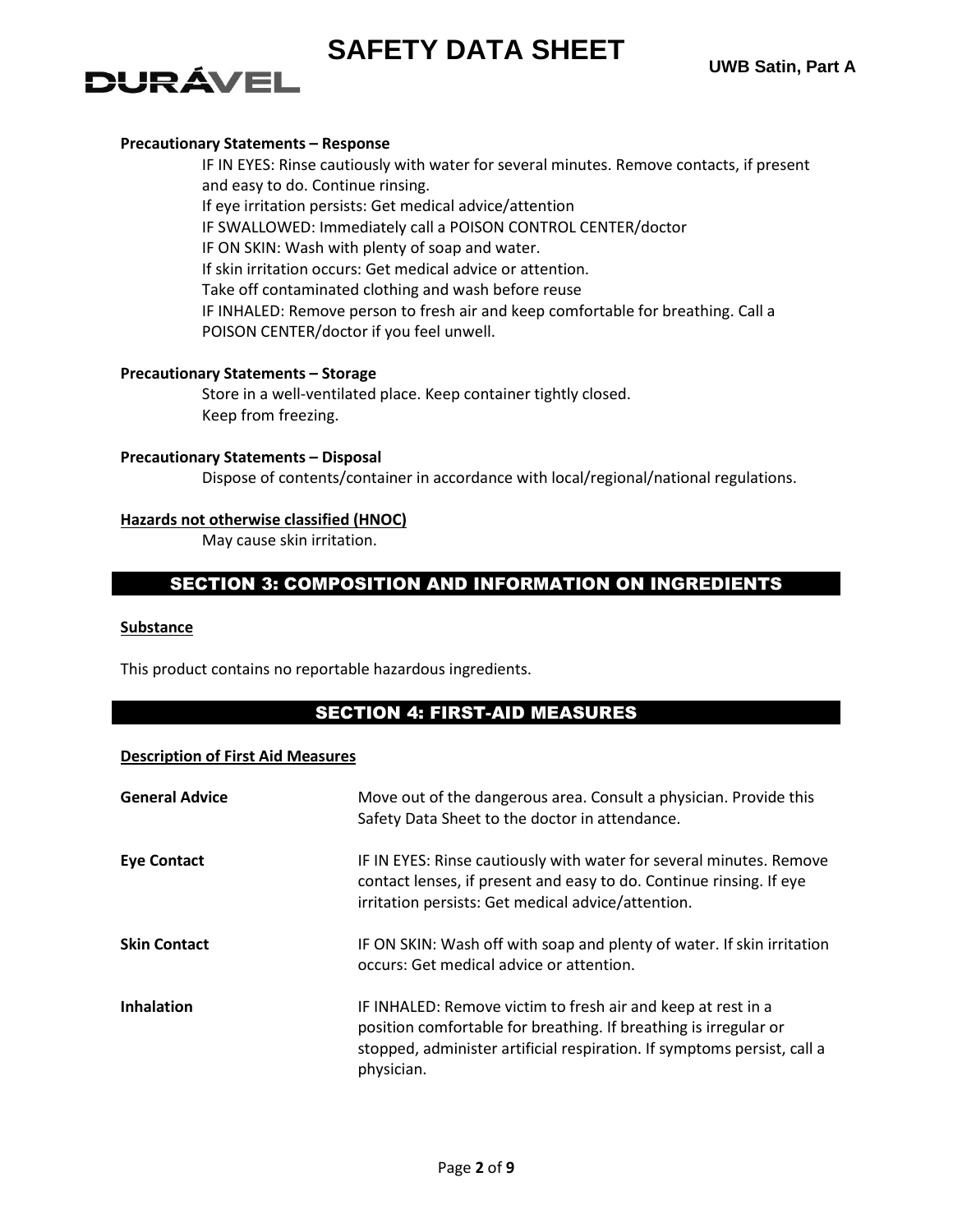# **DURÁVEL**

### **Precautionary Statements – Response**

IF IN EYES: Rinse cautiously with water for several minutes. Remove contacts, if present and easy to do. Continue rinsing. If eye irritation persists: Get medical advice/attention IF SWALLOWED: Immediately call a POISON CONTROL CENTER/doctor IF ON SKIN: Wash with plenty of soap and water. If skin irritation occurs: Get medical advice or attention. Take off contaminated clothing and wash before reuse IF INHALED: Remove person to fresh air and keep comfortable for breathing. Call a POISON CENTER/doctor if you feel unwell.

### **Precautionary Statements – Storage**

Store in a well-ventilated place. Keep container tightly closed. Keep from freezing.

### **Precautionary Statements – Disposal**

Dispose of contents/container in accordance with local/regional/national regulations.

### **Hazards not otherwise classified (HNOC)**

May cause skin irritation.

## SECTION 3: COMPOSITION AND INFORMATION ON INGREDIENTS

### **Substance**

This product contains no reportable hazardous ingredients.

## SECTION 4: FIRST-AID MEASURES

### **Description of First Aid Measures**

| <b>General Advice</b> | Move out of the dangerous area. Consult a physician. Provide this<br>Safety Data Sheet to the doctor in attendance.                                                                                                       |
|-----------------------|---------------------------------------------------------------------------------------------------------------------------------------------------------------------------------------------------------------------------|
| <b>Eye Contact</b>    | IF IN EYES: Rinse cautiously with water for several minutes. Remove<br>contact lenses, if present and easy to do. Continue rinsing. If eye<br>irritation persists: Get medical advice/attention.                          |
| <b>Skin Contact</b>   | IF ON SKIN: Wash off with soap and plenty of water. If skin irritation<br>occurs: Get medical advice or attention.                                                                                                        |
| <b>Inhalation</b>     | IF INHALED: Remove victim to fresh air and keep at rest in a<br>position comfortable for breathing. If breathing is irregular or<br>stopped, administer artificial respiration. If symptoms persist, call a<br>physician. |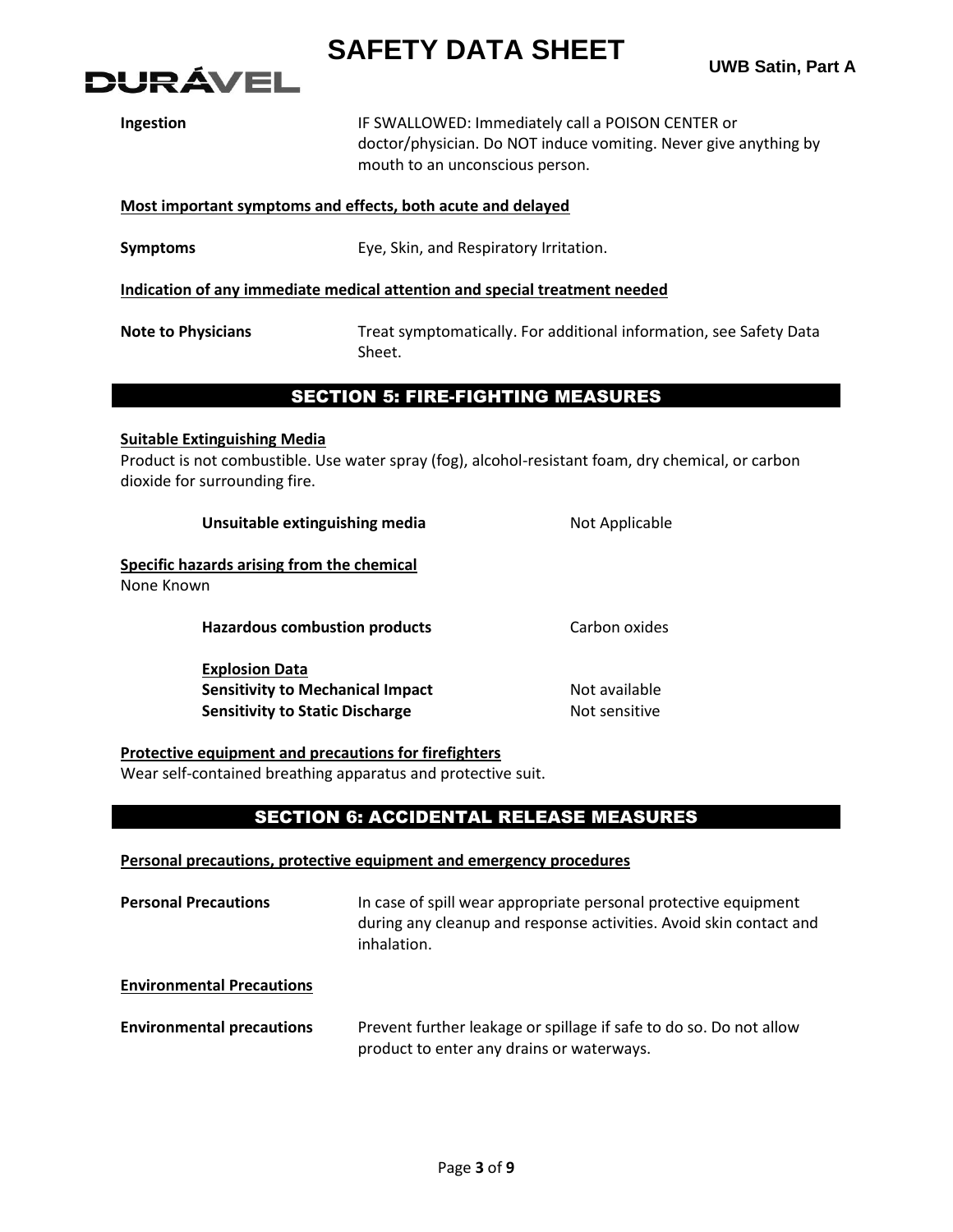



| Ingestion                                                                  | IF SWALLOWED: Immediately call a POISON CENTER or<br>doctor/physician. Do NOT induce vomiting. Never give anything by<br>mouth to an unconscious person. |  |
|----------------------------------------------------------------------------|----------------------------------------------------------------------------------------------------------------------------------------------------------|--|
| Most important symptoms and effects, both acute and delayed                |                                                                                                                                                          |  |
| <b>Symptoms</b>                                                            | Eye, Skin, and Respiratory Irritation.                                                                                                                   |  |
| Indication of any immediate medical attention and special treatment needed |                                                                                                                                                          |  |
| <b>Note to Physicians</b>                                                  | Treat symptomatically. For additional information, see Safety Data<br>Sheet.                                                                             |  |

## SECTION 5: FIRE-FIGHTING MEASURES

#### **Suitable Extinguishing Media**

Product is not combustible. Use water spray (fog), alcohol-resistant foam, dry chemical, or carbon dioxide for surrounding fire.

| Unsuitable extinguishing media                                                                             | Not Applicable                 |
|------------------------------------------------------------------------------------------------------------|--------------------------------|
| Specific hazards arising from the chemical<br>None Known                                                   |                                |
| <b>Hazardous combustion products</b>                                                                       | Carbon oxides                  |
| <b>Explosion Data</b><br><b>Sensitivity to Mechanical Impact</b><br><b>Sensitivity to Static Discharge</b> | Not available<br>Not sensitive |

### **Protective equipment and precautions for firefighters**

Wear self-contained breathing apparatus and protective suit.

## SECTION 6: ACCIDENTAL RELEASE MEASURES

#### **Personal precautions, protective equipment and emergency procedures**

| <b>Personal Precautions</b>      | In case of spill wear appropriate personal protective equipment<br>during any cleanup and response activities. Avoid skin contact and<br>inhalation. |
|----------------------------------|------------------------------------------------------------------------------------------------------------------------------------------------------|
| <b>Environmental Precautions</b> |                                                                                                                                                      |
| <b>Environmental precautions</b> | Prevent further leakage or spillage if safe to do so. Do not allow<br>product to enter any drains or waterways.                                      |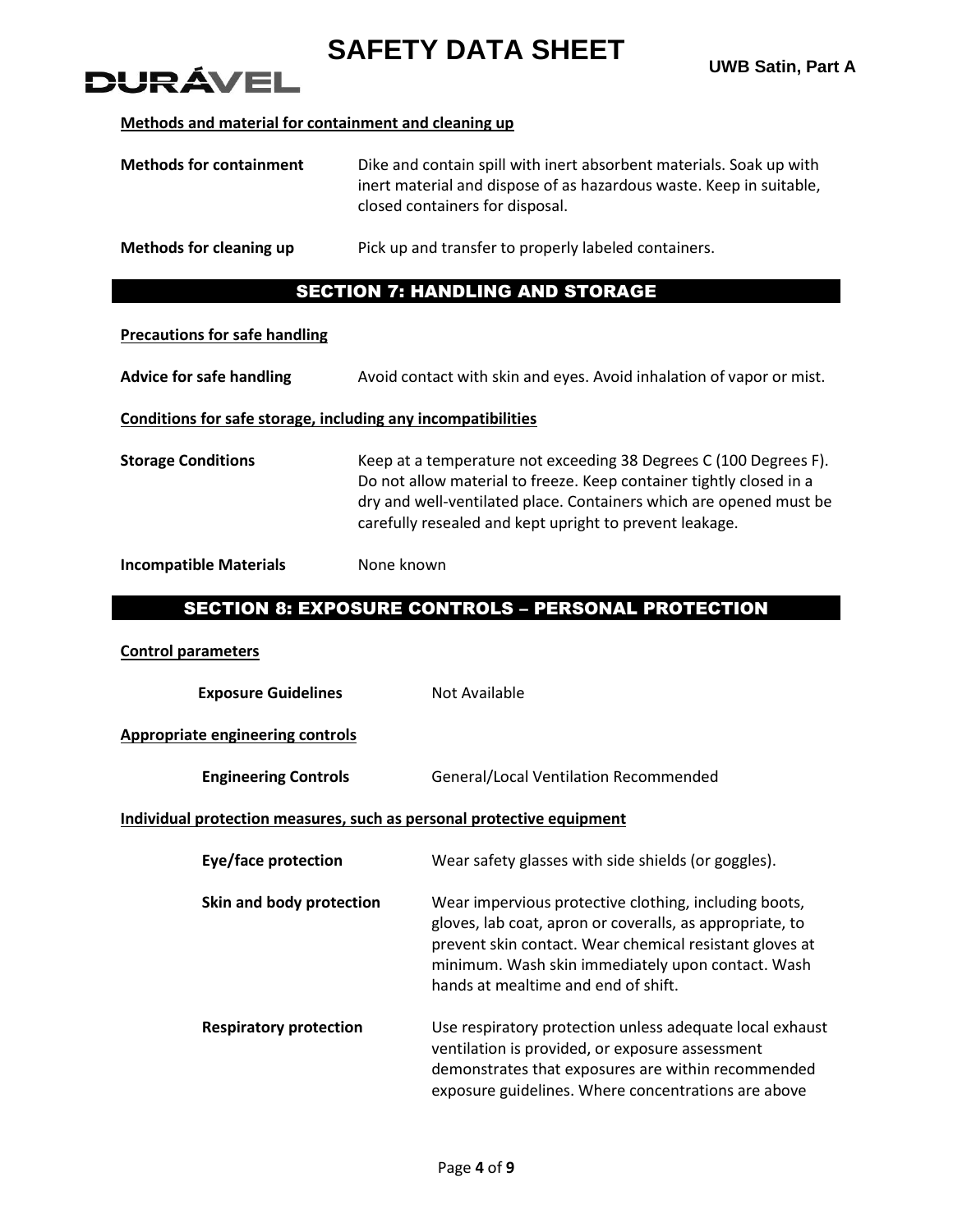# DI IRÁVEI

### **Methods and material for containment and cleaning up**

| <b>Methods for containment</b> | Dike and contain spill with inert absorbent materials. Soak up with<br>inert material and dispose of as hazardous waste. Keep in suitable,<br>closed containers for disposal. |
|--------------------------------|-------------------------------------------------------------------------------------------------------------------------------------------------------------------------------|
| Methods for cleaning up        | Pick up and transfer to properly labeled containers.                                                                                                                          |

## SECTION 7: HANDLING AND STORAGE

#### **Precautions for safe handling**

**Advice for safe handling** Avoid contact with skin and eyes. Avoid inhalation of vapor or mist.

### **Conditions for safe storage, including any incompatibilities**

**Storage Conditions** Keep at a temperature not exceeding 38 Degrees C (100 Degrees F). Do not allow material to freeze. Keep container tightly closed in a dry and well-ventilated place. Containers which are opened must be carefully resealed and kept upright to prevent leakage.

### **Incompatible Materials** None known

## SECTION 8: EXPOSURE CONTROLS – PERSONAL PROTECTION

### **Control parameters**

**Exposure Guidelines** Not Available

### **Appropriate engineering controls**

**Engineering Controls General/Local Ventilation Recommended** 

### **Individual protection measures, such as personal protective equipment**

| Eye/face protection           | Wear safety glasses with side shields (or goggles).                                                                                                                                                                                                                      |
|-------------------------------|--------------------------------------------------------------------------------------------------------------------------------------------------------------------------------------------------------------------------------------------------------------------------|
| Skin and body protection      | Wear impervious protective clothing, including boots,<br>gloves, lab coat, apron or coveralls, as appropriate, to<br>prevent skin contact. Wear chemical resistant gloves at<br>minimum. Wash skin immediately upon contact. Wash<br>hands at mealtime and end of shift. |
| <b>Respiratory protection</b> | Use respiratory protection unless adequate local exhaust<br>ventilation is provided, or exposure assessment<br>demonstrates that exposures are within recommended<br>exposure guidelines. Where concentrations are above                                                 |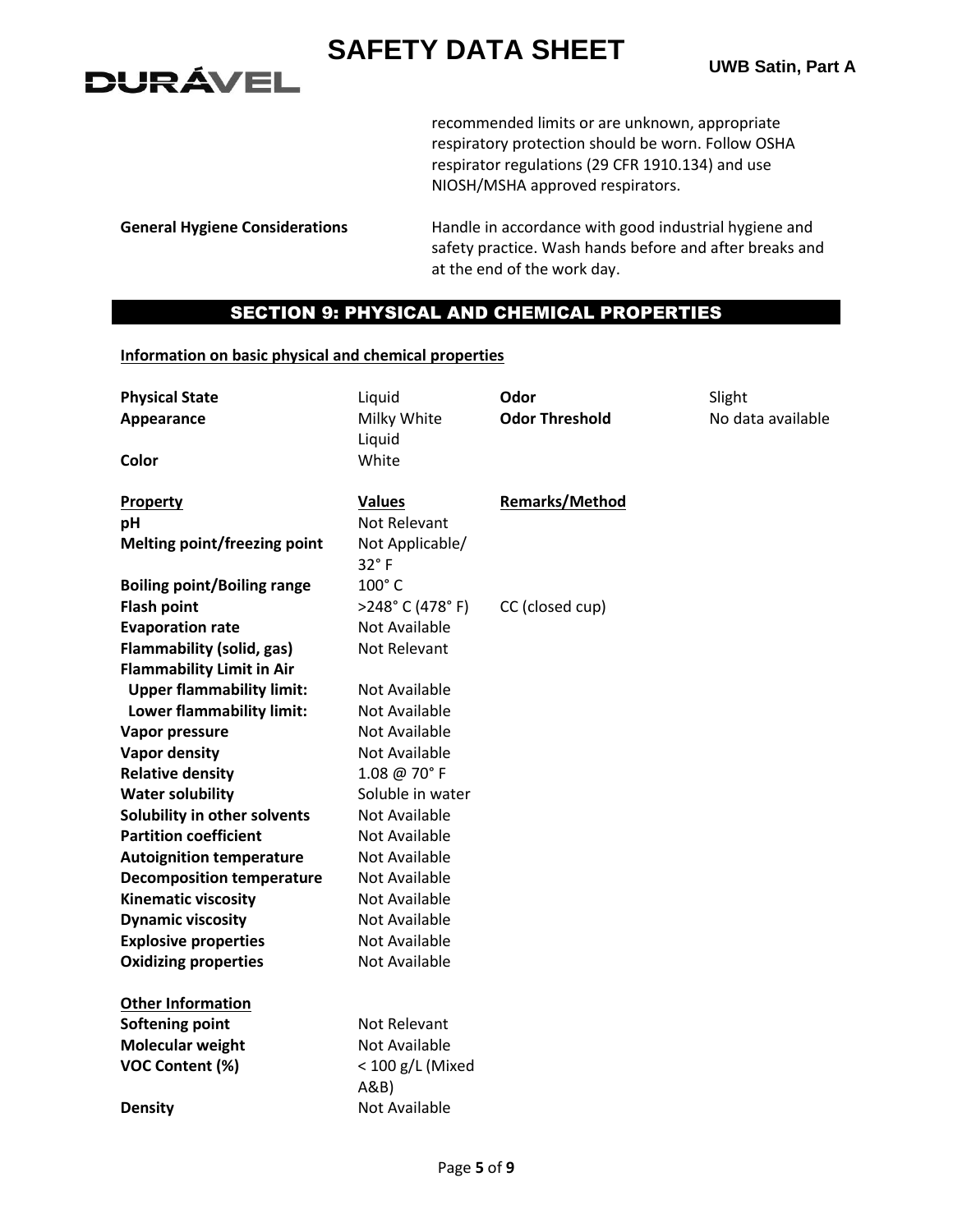**UWB Satin, Part A**

recommended limits or are unknown, appropriate respiratory protection should be worn. Follow OSHA respirator regulations (29 CFR 1910.134) and use NIOSH/MSHA approved respirators.

**DURÁVEL** 

**General Hygiene Considerations** Handle in accordance with good industrial hygiene and safety practice. Wash hands before and after breaks and at the end of the work day.

## SECTION 9: PHYSICAL AND CHEMICAL PROPERTIES

### **Information on basic physical and chemical properties**

| <b>Physical State</b>              | Liquid                  | Odor                  | Slight            |
|------------------------------------|-------------------------|-----------------------|-------------------|
| Appearance                         | Milky White             | <b>Odor Threshold</b> | No data available |
|                                    | Liquid                  |                       |                   |
| Color                              | White                   |                       |                   |
|                                    |                         |                       |                   |
| Property                           | <b>Values</b>           | <b>Remarks/Method</b> |                   |
| pH                                 | <b>Not Relevant</b>     |                       |                   |
| Melting point/freezing point       | Not Applicable/<br>32°F |                       |                   |
| <b>Boiling point/Boiling range</b> | 100°C                   |                       |                   |
| <b>Flash point</b>                 | >248°C (478°F)          | CC (closed cup)       |                   |
| <b>Evaporation rate</b>            | Not Available           |                       |                   |
| <b>Flammability (solid, gas)</b>   | Not Relevant            |                       |                   |
| <b>Flammability Limit in Air</b>   |                         |                       |                   |
| <b>Upper flammability limit:</b>   | Not Available           |                       |                   |
| Lower flammability limit:          | <b>Not Available</b>    |                       |                   |
| Vapor pressure                     | Not Available           |                       |                   |
| <b>Vapor density</b>               | <b>Not Available</b>    |                       |                   |
| <b>Relative density</b>            | 1.08 @ 70°F             |                       |                   |
| <b>Water solubility</b>            | Soluble in water        |                       |                   |
| Solubility in other solvents       | Not Available           |                       |                   |
| <b>Partition coefficient</b>       | Not Available           |                       |                   |
| <b>Autoignition temperature</b>    | <b>Not Available</b>    |                       |                   |
| <b>Decomposition temperature</b>   | <b>Not Available</b>    |                       |                   |
| <b>Kinematic viscosity</b>         | <b>Not Available</b>    |                       |                   |
| <b>Dynamic viscosity</b>           | <b>Not Available</b>    |                       |                   |
| <b>Explosive properties</b>        | Not Available           |                       |                   |
| <b>Oxidizing properties</b>        | Not Available           |                       |                   |
| <b>Other Information</b>           |                         |                       |                   |
| <b>Softening point</b>             | Not Relevant            |                       |                   |
| <b>Molecular weight</b>            | <b>Not Available</b>    |                       |                   |
| VOC Content (%)                    | < 100 g/L (Mixed        |                       |                   |
|                                    | A&B                     |                       |                   |
| <b>Density</b>                     | <b>Not Available</b>    |                       |                   |
|                                    |                         |                       |                   |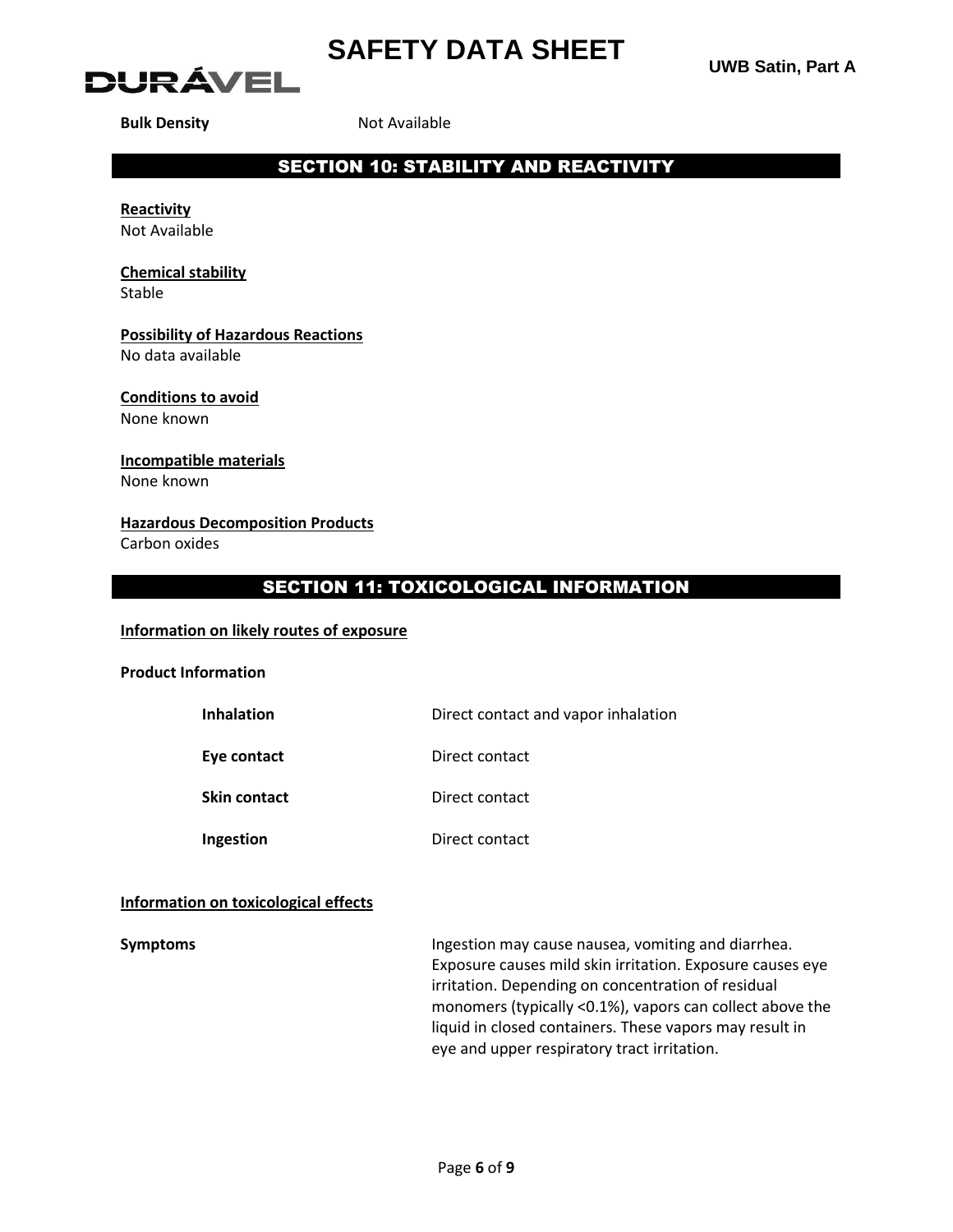



**Bulk Density** Not Available

# SECTION 10: STABILITY AND REACTIVITY

**Reactivity** Not Available

# **Chemical stability**

Stable

# **Possibility of Hazardous Reactions**

No data available

#### **Conditions to avoid** None known

# **Incompatible materials**

None known

### **Hazardous Decomposition Products**

Carbon oxides

# SECTION 11: TOXICOLOGICAL INFORMATION

### **Information on likely routes of exposure**

### **Product Information**

| <b>Inhalation</b>   | Direct contact and vapor inhalation |
|---------------------|-------------------------------------|
| Eye contact         | Direct contact                      |
| <b>Skin contact</b> | Direct contact                      |
| Ingestion           | Direct contact                      |

### **Information on toxicological effects**

**Symptoms Ingestion may cause nausea, vomiting and diarrhea.** Exposure causes mild skin irritation. Exposure causes eye irritation. Depending on concentration of residual monomers (typically <0.1%), vapors can collect above the liquid in closed containers. These vapors may result in eye and upper respiratory tract irritation.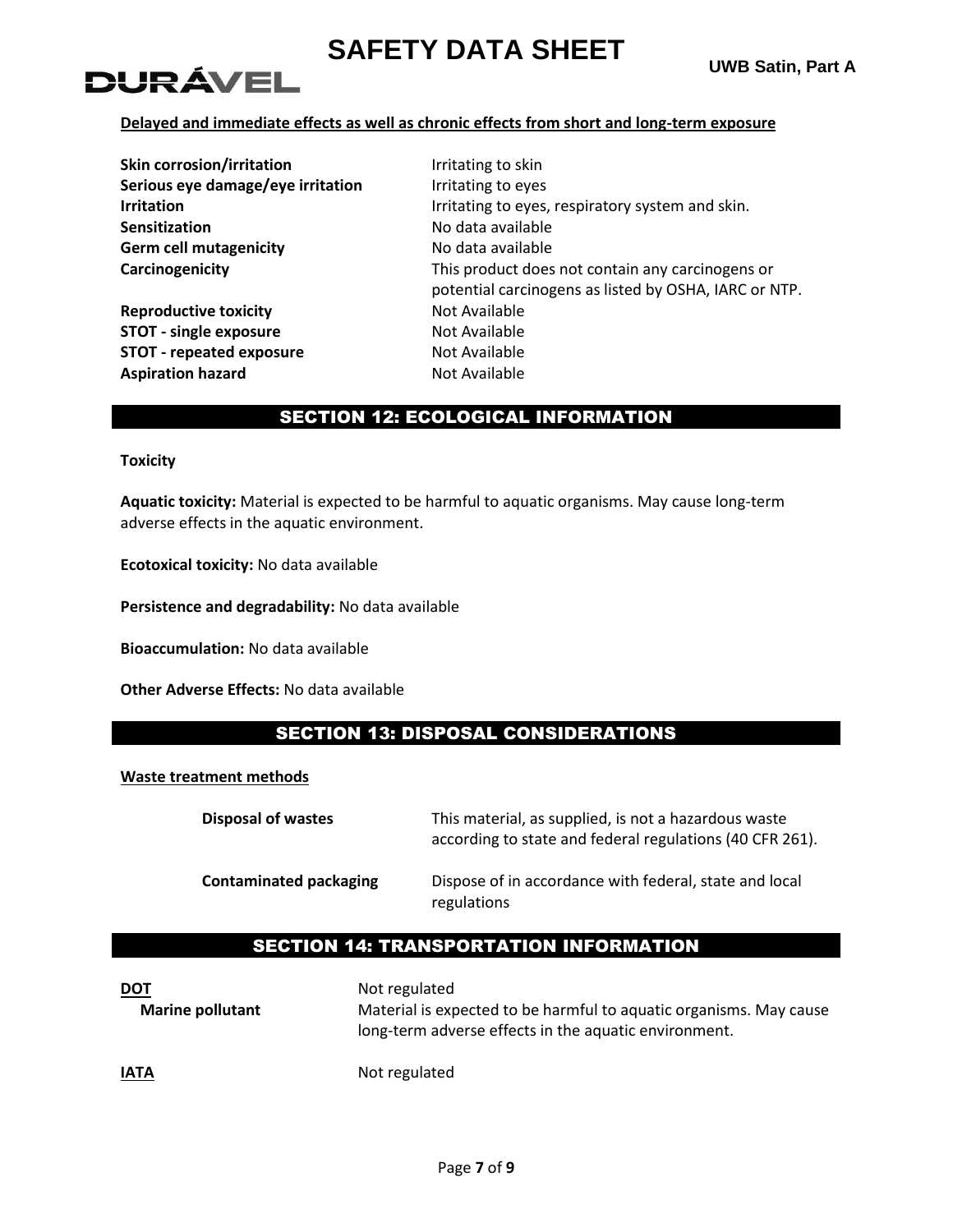# DURÁVEI

### **Delayed and immediate effects as well as chronic effects from short and long-term exposure**

| <b>Skin corrosion/irritation</b>  | Irritating to skin                                                                                        |
|-----------------------------------|-----------------------------------------------------------------------------------------------------------|
| Serious eye damage/eye irritation | Irritating to eyes                                                                                        |
| <b>Irritation</b>                 | Irritating to eyes, respiratory system and skin.                                                          |
| <b>Sensitization</b>              | No data available                                                                                         |
| <b>Germ cell mutagenicity</b>     | No data available                                                                                         |
| Carcinogenicity                   | This product does not contain any carcinogens or<br>potential carcinogens as listed by OSHA, IARC or NTP. |
| <b>Reproductive toxicity</b>      | Not Available                                                                                             |
| <b>STOT - single exposure</b>     | Not Available                                                                                             |
| <b>STOT - repeated exposure</b>   | Not Available                                                                                             |
| <b>Aspiration hazard</b>          | Not Available                                                                                             |

## SECTION 12: ECOLOGICAL INFORMATION

**Toxicity**

**Aquatic toxicity:** Material is expected to be harmful to aquatic organisms. May cause long-term adverse effects in the aquatic environment.

**Ecotoxical toxicity:** No data available

**Persistence and degradability:** No data available

**Bioaccumulation:** No data available

**Other Adverse Effects:** No data available

## SECTION 13: DISPOSAL CONSIDERATIONS

### **Waste treatment methods**

| <b>Disposal of wastes</b>     | This material, as supplied, is not a hazardous waste<br>according to state and federal regulations (40 CFR 261). |
|-------------------------------|------------------------------------------------------------------------------------------------------------------|
| <b>Contaminated packaging</b> | Dispose of in accordance with federal, state and local<br>regulations                                            |

## SECTION 14: TRANSPORTATION INFORMATION

| <u>DOT</u><br><b>Marine pollutant</b> | Not regulated<br>Material is expected to be harmful to aquatic organisms. May cause<br>long-term adverse effects in the aquatic environment. |
|---------------------------------------|----------------------------------------------------------------------------------------------------------------------------------------------|
| <u>IATA</u>                           | Not regulated                                                                                                                                |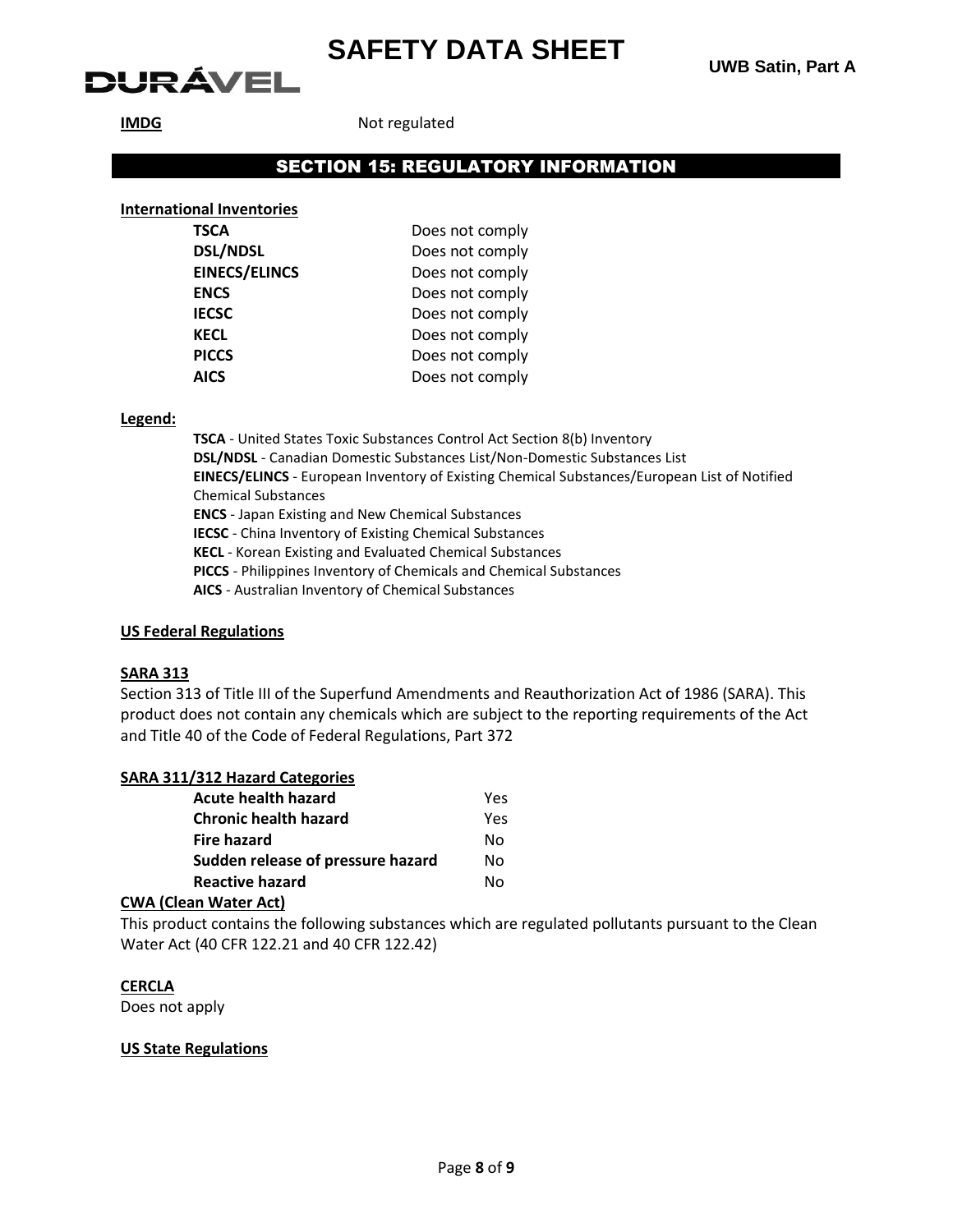# DURÁVEL

**UWB Satin, Part A**

**IMDG** Not regulated

## SECTION 15: REGULATORY INFORMATION

### **International Inventories**

| Does not comply |
|-----------------|
| Does not comply |
| Does not comply |
| Does not comply |
| Does not comply |
| Does not comply |
| Does not comply |
| Does not comply |
|                 |

#### **Legend:**

**TSCA** - United States Toxic Substances Control Act Section 8(b) Inventory **DSL/NDSL** - Canadian Domestic Substances List/Non-Domestic Substances List **EINECS/ELINCS** - European Inventory of Existing Chemical Substances/European List of Notified Chemical Substances **ENCS** - Japan Existing and New Chemical Substances **IECSC** - China Inventory of Existing Chemical Substances **KECL** - Korean Existing and Evaluated Chemical Substances **PICCS** - Philippines Inventory of Chemicals and Chemical Substances **AICS** - Australian Inventory of Chemical Substances

### **US Federal Regulations**

#### **SARA 313**

Section 313 of Title III of the Superfund Amendments and Reauthorization Act of 1986 (SARA). This product does not contain any chemicals which are subject to the reporting requirements of the Act and Title 40 of the Code of Federal Regulations, Part 372

### **SARA 311/312 Hazard Categories**

| Acute health hazard               | Yes |
|-----------------------------------|-----|
| <b>Chronic health hazard</b>      | Yes |
| <b>Fire hazard</b>                | N٥  |
| Sudden release of pressure hazard | N٥  |
| <b>Reactive hazard</b>            | N٥  |

#### **CWA (Clean Water Act)**

This product contains the following substances which are regulated pollutants pursuant to the Clean Water Act (40 CFR 122.21 and 40 CFR 122.42)

### **CERCLA**

Does not apply

#### **US State Regulations**